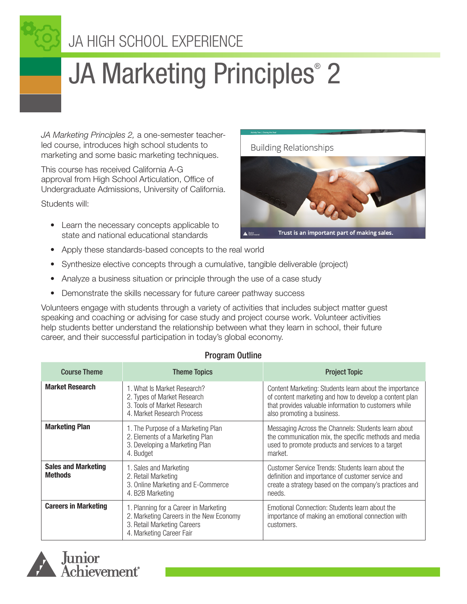

# JA Marketing Principles<sup>®</sup> 2

*JA Marketing Principles 2,* a one-semester teacherled course, introduces high school students to marketing and some basic marketing techniques.

This course has received California A-G approval from High School Articulation, Office of Undergraduate Admissions, University of California.

Students will:

• Learn the necessary concepts applicable to state and national educational standards



- Synthesize elective concepts through a cumulative, tangible deliverable (project)
- Analyze a business situation or principle through the use of a case study
- Demonstrate the skills necessary for future career pathway success

Volunteers engage with students through a variety of activities that includes subject matter guest speaking and coaching or advising for case study and project course work. Volunteer activities help students better understand the relationship between what they learn in school, their future career, and their successful participation in today's global economy.

#### Program Outline

| <b>Course Theme</b>                          | <b>Theme Topics</b>                                                                                                                         | <b>Project Topic</b>                                                                                                                                                                                    |  |
|----------------------------------------------|---------------------------------------------------------------------------------------------------------------------------------------------|---------------------------------------------------------------------------------------------------------------------------------------------------------------------------------------------------------|--|
| <b>Market Research</b>                       | 1. What Is Market Research?<br>2. Types of Market Research<br>3. Tools of Market Research<br>4. Market Research Process                     | Content Marketing: Students learn about the importance<br>of content marketing and how to develop a content plan<br>that provides valuable information to customers while<br>also promoting a business. |  |
| <b>Marketing Plan</b>                        | 1. The Purpose of a Marketing Plan<br>2. Elements of a Marketing Plan<br>3. Developing a Marketing Plan<br>4. Budget                        | Messaging Across the Channels: Students learn about<br>the communication mix, the specific methods and media<br>used to promote products and services to a target<br>market.                            |  |
| <b>Sales and Marketing</b><br><b>Methods</b> | 1. Sales and Marketing<br>2. Retail Marketing<br>3. Online Marketing and E-Commerce<br>4. B2B Marketing                                     | Customer Service Trends: Students learn about the<br>definition and importance of customer service and<br>create a strategy based on the company's practices and<br>needs.                              |  |
| <b>Careers in Marketing</b>                  | 1. Planning for a Career in Marketing<br>2. Marketing Careers in the New Economy<br>3. Retail Marketing Careers<br>4. Marketing Career Fair | Emotional Connection: Students learn about the<br>importance of making an emotional connection with<br>customers.                                                                                       |  |



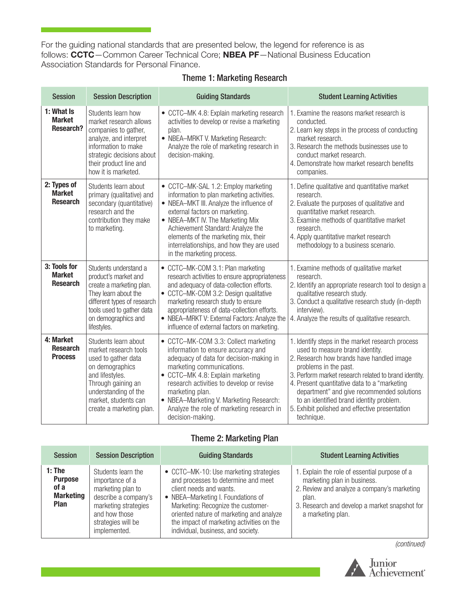For the guiding national standards that are presented below, the legend for reference is as follows: CCTC—Common Career Technical Core; NBEA PF—National Business Education Association Standards for Personal Finance.

#### Theme 1: Marketing Research

| <b>Session</b>                                   | <b>Session Description</b>                                                                                                                                                                                   | <b>Guiding Standards</b>                                                                                                                                                                                                                                                                                                                                          | <b>Student Learning Activities</b>                                                                                                                                                                                                                                                                                                                                                                                            |
|--------------------------------------------------|--------------------------------------------------------------------------------------------------------------------------------------------------------------------------------------------------------------|-------------------------------------------------------------------------------------------------------------------------------------------------------------------------------------------------------------------------------------------------------------------------------------------------------------------------------------------------------------------|-------------------------------------------------------------------------------------------------------------------------------------------------------------------------------------------------------------------------------------------------------------------------------------------------------------------------------------------------------------------------------------------------------------------------------|
| 1: What Is<br><b>Market</b><br><b>Research?</b>  | Students learn how<br>market research allows<br>companies to gather,<br>analyze, and interpret<br>information to make<br>strategic decisions about<br>their product line and<br>how it is marketed.          | • CCTC-MK 4.8: Explain marketing research<br>activities to develop or revise a marketing<br>plan.<br>• NBEA-MRKT V. Marketing Research:<br>Analyze the role of marketing research in<br>decision-making.                                                                                                                                                          | 1. Examine the reasons market research is<br>conducted.<br>2. Learn key steps in the process of conducting<br>market research.<br>3. Research the methods businesses use to<br>conduct market research.<br>4. Demonstrate how market research benefits<br>companies.                                                                                                                                                          |
| 2: Types of<br><b>Market</b><br><b>Research</b>  | Students learn about<br>primary (qualitative) and<br>secondary (quantitative)<br>research and the<br>contribution they make<br>to marketing.                                                                 | • CCTC-MK-SAL 1.2: Employ marketing<br>information to plan marketing activities.<br>• NBEA-MKT III. Analyze the influence of<br>external factors on marketing.<br>• NBEA-MKT IV. The Marketing Mix<br>Achievement Standard: Analyze the<br>elements of the marketing mix, their<br>interrelationships, and how they are used<br>in the marketing process.         | 1. Define qualitative and quantitative market<br>research.<br>2. Evaluate the purposes of qualitative and<br>quantitative market research.<br>3. Examine methods of quantitative market<br>research.<br>4. Apply quantitative market research<br>methodology to a business scenario.                                                                                                                                          |
| 3: Tools for<br><b>Market</b><br><b>Research</b> | Students understand a<br>product's market and<br>create a marketing plan.<br>They learn about the<br>different types of research<br>tools used to gather data<br>on demographics and<br>lifestyles.          | • CCTC-MK-COM 3.1: Plan marketing<br>research activities to ensure appropriateness<br>and adequacy of data-collection efforts.<br>• CCTC-MK-COM 3.2: Design qualitative<br>marketing research study to ensure<br>appropriateness of data-collection efforts.<br>• NBEA-MRKT V: External Factors: Analyze the<br>influence of external factors on marketing.       | 1. Examine methods of qualitative market<br>research.<br>2. Identify an appropriate research tool to design a<br>qualitative research study.<br>3. Conduct a qualitative research study (in-depth<br>interview).<br>4. Analyze the results of qualitative research.                                                                                                                                                           |
| 4: Market<br><b>Research</b><br><b>Process</b>   | Students learn about<br>market research tools<br>used to gather data<br>on demographics<br>and lifestyles.<br>Through gaining an<br>understanding of the<br>market, students can<br>create a marketing plan. | • CCTC-MK-COM 3.3: Collect marketing<br>information to ensure accuracy and<br>adequacy of data for decision-making in<br>marketing communications.<br>• CCTC-MK 4.8: Explain marketing<br>research activities to develop or revise<br>marketing plan.<br>• NBEA-Marketing V. Marketing Research:<br>Analyze the role of marketing research in<br>decision-making. | 1. Identify steps in the market research process<br>used to measure brand identity.<br>2. Research how brands have handled image<br>problems in the past.<br>3. Perform market research related to brand identity.<br>4. Present quantitative data to a "marketing"<br>department" and give recommended solutions<br>to an identified brand identity problem.<br>5. Exhibit polished and effective presentation<br>technique. |

#### Theme 2: Marketing Plan

| <b>Session</b>                                                        | <b>Session Description</b>                                                                                                                                        | <b>Guiding Standards</b>                                                                                                                                                                                                                                                                                            | <b>Student Learning Activities</b>                                                                                                                                                                         |
|-----------------------------------------------------------------------|-------------------------------------------------------------------------------------------------------------------------------------------------------------------|---------------------------------------------------------------------------------------------------------------------------------------------------------------------------------------------------------------------------------------------------------------------------------------------------------------------|------------------------------------------------------------------------------------------------------------------------------------------------------------------------------------------------------------|
| $1:$ The<br><b>Purpose</b><br>of a<br><b>Marketing</b><br><b>Plan</b> | Students learn the<br>importance of a<br>marketing plan to<br>describe a company's<br>marketing strategies<br>and how those<br>strategies will be<br>implemented. | • CCTC-MK-10: Use marketing strategies<br>and processes to determine and meet<br>client needs and wants.<br>• NBEA-Marketing I. Foundations of<br>Marketing: Recognize the customer-<br>oriented nature of marketing and analyze<br>the impact of marketing activities on the<br>individual, business, and society. | 1. Explain the role of essential purpose of a<br>marketing plan in business.<br>2. Review and analyze a company's marketing<br>plan.<br>3. Research and develop a market snapshot for<br>a marketing plan. |

*(continued)*

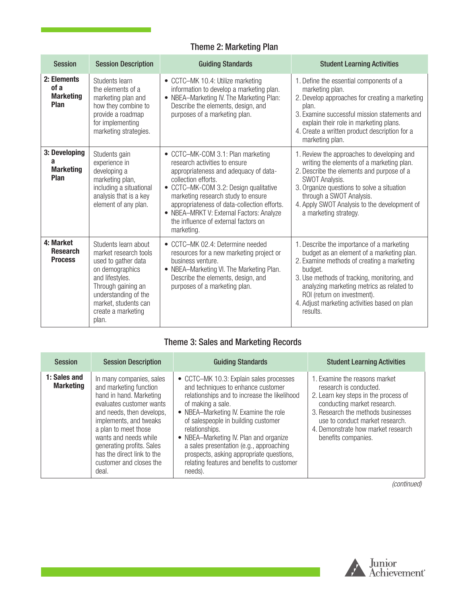## Theme 2: Marketing Plan

| <b>Session</b>                                  | <b>Session Description</b>                                                                                                                                                                                      | <b>Guiding Standards</b>                                                                                                                                                                                                                                                                                                                                           | <b>Student Learning Activities</b>                                                                                                                                                                                                                                                                                                     |
|-------------------------------------------------|-----------------------------------------------------------------------------------------------------------------------------------------------------------------------------------------------------------------|--------------------------------------------------------------------------------------------------------------------------------------------------------------------------------------------------------------------------------------------------------------------------------------------------------------------------------------------------------------------|----------------------------------------------------------------------------------------------------------------------------------------------------------------------------------------------------------------------------------------------------------------------------------------------------------------------------------------|
| 2: Elements<br>of a<br><b>Marketing</b><br>Plan | Students learn<br>the elements of a<br>marketing plan and<br>how they combine to<br>provide a roadmap<br>for implementing<br>marketing strategies.                                                              | • CCTC-MK 10.4: Utilize marketing<br>information to develop a marketing plan.<br>• NBEA-Marketing IV. The Marketing Plan:<br>Describe the elements, design, and<br>purposes of a marketing plan.                                                                                                                                                                   | 1. Define the essential components of a<br>marketing plan.<br>2. Develop approaches for creating a marketing<br>plan.<br>3. Examine successful mission statements and<br>explain their role in marketing plans.<br>4. Create a written product description for a<br>marketing plan.                                                    |
| 3: Developing<br>a<br><b>Marketing</b><br>Plan  | Students gain<br>experience in<br>developing a<br>marketing plan,<br>including a situational<br>analysis that is a key<br>element of any plan.                                                                  | • CCTC-MK-COM 3.1: Plan marketing<br>research activities to ensure<br>appropriateness and adequacy of data-<br>collection efforts.<br>• CCTC-MK-COM 3.2: Design qualitative<br>marketing research study to ensure<br>appropriateness of data-collection efforts.<br>• NBEA-MRKT V: External Factors: Analyze<br>the influence of external factors on<br>marketing. | 1. Review the approaches to developing and<br>writing the elements of a marketing plan.<br>2. Describe the elements and purpose of a<br>SWOT Analysis.<br>3. Organize questions to solve a situation<br>through a SWOT Analysis.<br>4. Apply SWOT Analysis to the development of<br>a marketing strategy.                              |
| 4: Market<br><b>Research</b><br><b>Process</b>  | Students learn about<br>market research tools<br>used to gather data<br>on demographics<br>and lifestyles.<br>Through gaining an<br>understanding of the<br>market, students can<br>create a marketing<br>plan. | • CCTC-MK 02.4: Determine needed<br>resources for a new marketing project or<br>business venture.<br>• NBEA-Marketing VI. The Marketing Plan.<br>Describe the elements, design, and<br>purposes of a marketing plan.                                                                                                                                               | 1. Describe the importance of a marketing<br>budget as an element of a marketing plan.<br>2. Examine methods of creating a marketing<br>budget.<br>3. Use methods of tracking, monitoring, and<br>analyzing marketing metrics as related to<br>ROI (return on investment).<br>4. Adjust marketing activities based on plan<br>results. |

## Theme 3: Sales and Marketing Records

| <b>Session</b>                   | <b>Session Description</b>                                                                                                                                                                                                                                                                                       | <b>Guiding Standards</b>                                                                                                                                                                                                                                                                                                                                                                                                                       | <b>Student Learning Activities</b>                                                                                                                                                                                                                                   |
|----------------------------------|------------------------------------------------------------------------------------------------------------------------------------------------------------------------------------------------------------------------------------------------------------------------------------------------------------------|------------------------------------------------------------------------------------------------------------------------------------------------------------------------------------------------------------------------------------------------------------------------------------------------------------------------------------------------------------------------------------------------------------------------------------------------|----------------------------------------------------------------------------------------------------------------------------------------------------------------------------------------------------------------------------------------------------------------------|
| 1: Sales and<br><b>Marketing</b> | In many companies, sales<br>and marketing function<br>hand in hand. Marketing<br>evaluates customer wants<br>and needs, then develops,<br>implements, and tweaks<br>a plan to meet those<br>wants and needs while<br>generating profits. Sales<br>has the direct link to the<br>customer and closes the<br>deal. | • CCTC-MK 10.3: Explain sales processes<br>and techniques to enhance customer<br>relationships and to increase the likelihood<br>of making a sale.<br>• NBEA-Marketing IV. Examine the role<br>of salespeople in building customer<br>relationships.<br>• NBEA-Marketing IV. Plan and organize<br>a sales presentation (e.g., approaching<br>prospects, asking appropriate questions,<br>relating features and benefits to customer<br>needs). | 1. Examine the reasons market<br>research is conducted.<br>2. Learn key steps in the process of<br>conducting market research.<br>3. Research the methods businesses<br>use to conduct market research.<br>4. Demonstrate how market research<br>benefits companies. |

*(continued)*

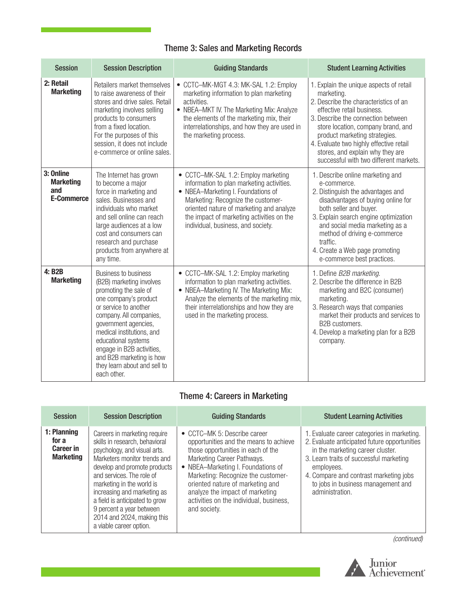## Theme 3: Sales and Marketing Records

| <b>Session</b>                                            | <b>Session Description</b>                                                                                                                                                                                                                                                                                                                        | <b>Guiding Standards</b>                                                                                                                                                                                                                                                                    | <b>Student Learning Activities</b>                                                                                                                                                                                                                                                                                                                                 |
|-----------------------------------------------------------|---------------------------------------------------------------------------------------------------------------------------------------------------------------------------------------------------------------------------------------------------------------------------------------------------------------------------------------------------|---------------------------------------------------------------------------------------------------------------------------------------------------------------------------------------------------------------------------------------------------------------------------------------------|--------------------------------------------------------------------------------------------------------------------------------------------------------------------------------------------------------------------------------------------------------------------------------------------------------------------------------------------------------------------|
| 2: Retail<br><b>Marketing</b>                             | Retailers market themselves<br>to raise awareness of their<br>stores and drive sales. Retail<br>marketing involves selling<br>products to consumers<br>from a fixed location.<br>For the purposes of this<br>session, it does not include<br>e-commerce or online sales.                                                                          | • CCTC-MK-MGT 4.3: MK-SAL 1.2: Employ<br>marketing information to plan marketing<br>activities.<br>• NBEA-MKT IV. The Marketing Mix: Analyze<br>the elements of the marketing mix, their<br>interrelationships, and how they are used in<br>the marketing process.                          | 1. Explain the unique aspects of retail<br>marketing.<br>2. Describe the characteristics of an<br>effective retail business.<br>3. Describe the connection between<br>store location, company brand, and<br>product marketing strategies.<br>4. Evaluate two highly effective retail<br>stores, and explain why they are<br>successful with two different markets. |
| 3: Online<br><b>Marketing</b><br>and<br><b>E-Commerce</b> | The Internet has grown<br>to become a major<br>force in marketing and<br>sales. Businesses and<br>individuals who market<br>and sell online can reach<br>large audiences at a low<br>cost and consumers can<br>research and purchase<br>products from anywhere at<br>any time.                                                                    | • CCTC-MK-SAL 1.2: Employ marketing<br>information to plan marketing activities.<br>• NBEA-Marketing I. Foundations of<br>Marketing: Recognize the customer-<br>oriented nature of marketing and analyze<br>the impact of marketing activities on the<br>individual, business, and society. | 1. Describe online marketing and<br>e-commerce.<br>2. Distinguish the advantages and<br>disadvantages of buying online for<br>both seller and buyer.<br>3. Explain search engine optimization<br>and social media marketing as a<br>method of driving e-commerce<br>traffic.<br>4. Create a Web page promoting<br>e-commerce best practices.                       |
| 4: B2B<br><b>Marketing</b>                                | <b>Business to business</b><br>(B2B) marketing involves<br>promoting the sale of<br>one company's product<br>or service to another<br>company. All companies,<br>government agencies,<br>medical institutions, and<br>educational systems<br>engage in B2B activities,<br>and B2B marketing is how<br>they learn about and sell to<br>each other. | • CCTC-MK-SAL 1.2: Employ marketing<br>information to plan marketing activities.<br>• NBEA-Marketing IV. The Marketing Mix:<br>Analyze the elements of the marketing mix,<br>their interrelationships and how they are<br>used in the marketing process.                                    | 1. Define B2B marketing.<br>2. Describe the difference in B2B<br>marketing and B2C (consumer)<br>marketing.<br>3. Research ways that companies<br>market their products and services to<br>B2B customers.<br>4. Develop a marketing plan for a B2B<br>company.                                                                                                     |

## Theme 4: Careers in Marketing

| <b>Session</b>                                               | <b>Session Description</b>                                                                                                                                                                                                                                                                                                                                                     | <b>Guiding Standards</b>                                                                                                                                                                                                                                                                                                                                 | <b>Student Learning Activities</b>                                                                                                                                                                                                                                                          |
|--------------------------------------------------------------|--------------------------------------------------------------------------------------------------------------------------------------------------------------------------------------------------------------------------------------------------------------------------------------------------------------------------------------------------------------------------------|----------------------------------------------------------------------------------------------------------------------------------------------------------------------------------------------------------------------------------------------------------------------------------------------------------------------------------------------------------|---------------------------------------------------------------------------------------------------------------------------------------------------------------------------------------------------------------------------------------------------------------------------------------------|
| 1: Planning<br>for a<br><b>Career in</b><br><b>Marketing</b> | Careers in marketing require<br>skills in research, behavioral<br>psychology, and visual arts.<br>Marketers monitor trends and<br>develop and promote products<br>and services. The role of<br>marketing in the world is<br>increasing and marketing as<br>a field is anticipated to grow<br>9 percent a year between<br>2014 and 2024, making this<br>a viable career option. | • CCTC-MK 5: Describe career<br>opportunities and the means to achieve<br>those opportunities in each of the<br>Marketing Career Pathways.<br>• NBEA-Marketing I. Foundations of<br>Marketing: Recognize the customer-<br>oriented nature of marketing and<br>analyze the impact of marketing<br>activities on the individual, business,<br>and society. | 1. Evaluate career categories in marketing.<br>2. Evaluate anticipated future opportunities<br>in the marketing career cluster.<br>3. Learn traits of successful marketing<br>employees.<br>4. Compare and contrast marketing jobs<br>to jobs in business management and<br>administration. |

*(continued)*